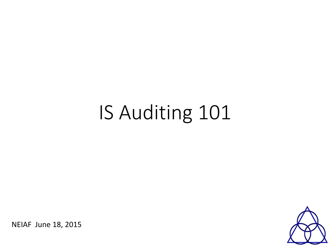# IS Auditing 101

NEIAF June 18, 2015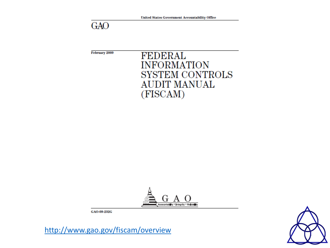**United States Government Accountability Office** 

**GAO** 

February 2009 **FEDERAL INFORMATION SYSTEM CONTROLS AUDIT MANUAL** (FISCAM)



GAO-09-232G

<http://www.gao.gov/fiscam/overview>

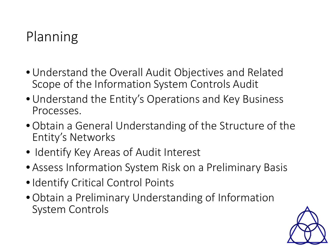# Planning

- Understand the Overall Audit Objectives and Related Scope of the Information System Controls Audit
- Understand the Entity's Operations and Key Business Processes.
- Obtain a General Understanding of the Structure of the Entity's Networks
- Identify Key Areas of Audit Interest
- Assess Information System Risk on a Preliminary Basis
- •Identify Critical Control Points
- Obtain a Preliminary Understanding of Information System Controls

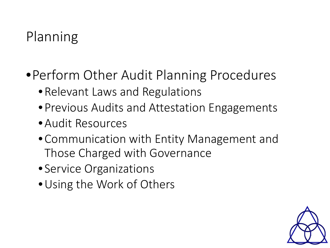# Planning

- •Perform Other Audit Planning Procedures
	- Relevant Laws and Regulations
	- Previous Audits and Attestation Engagements
	- •Audit Resources
	- Communication with Entity Management and Those Charged with Governance
	- Service Organizations
	- •Using the Work of Others

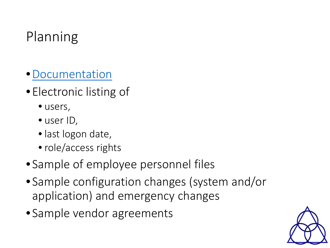# Planning

- •Documentation
- Electronic listing of
	- users,
	- user ID,
	- last logon date,
	- role/access rights
- Sample of employee personnel files
- Sample configuration changes (system and/or application) and emergency changes
- Sample vendor agreements

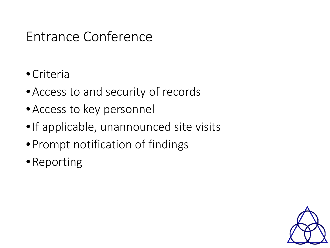# Entrance Conference

- Criteria
- •Access to and security of records
- •Access to key personnel
- •If applicable, unannounced site visits
- Prompt notification of findings
- Reporting

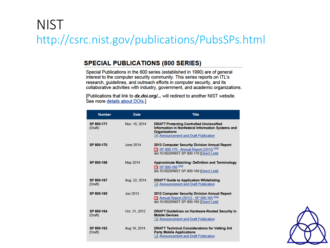#### **NIST** http://csrc.nist.gov/publications/PubsSPs.html

#### **SPECIAL PUBLICATIONS (800 SERIES)**

Special Publications in the 800 series (established in 1990) are of general interest to the computer security community. This series reports on ITL's research, quidelines, and outreach efforts in computer security, and its collaborative activities with industry, government, and academic organizations.

[Publications that link to dx.doi.org/... will redirect to another NIST website. See more details about DOIs.]

| <b>Number</b>         | <b>Date</b>      | <b>Title</b>                                                                                                                                                       |
|-----------------------|------------------|--------------------------------------------------------------------------------------------------------------------------------------------------------------------|
| SP 800-171<br>(Draft) | Nov. 18, 2014    | <b>DRAFT Protecting Controlled Unclassified</b><br>Information in Nonfederal Information Systems and<br><b>Organizations</b><br>Announcement and Draft Publication |
| SP 800-170            | <b>June 2014</b> | 2013 Computer Security Division Annual Report<br>SP 800-170 - Annual Report (2013) <b>FAQ</b><br>doi:10.6028/NIST.SP.800-170 [Direct Link]                         |
| SP 800-168            | May 2014         | <b>Approximate Matching: Definition and Terminology</b><br><b>7</b> SP 800-168 EAQ<br>doi:10.6028/NIST.SP.800-168 [Direct Link]                                    |
| SP 800-167<br>(Draft) | Aug. 22, 2014    | <b>DRAFT Guide to Application Whitelisting</b><br>$\rightarrow$ Announcement and Draft Publication                                                                 |
| SP 800-165            | <b>Jun 2013</b>  | 2012 Computer Security Division Annual Report<br>Annual Report (2012) - SP 800-165 FAQ<br>doi:10.6028/NIST.SP.800-165 [Direct Link]                                |
| SP 800-164<br>(Draft) | Oct. 31, 2012    | <b>DRAFT Guidelines on Hardware-Rooted Security in</b><br><b>Mobile Devices</b><br>$\rightarrow$ Announcement and Draft Publication                                |
| SP 800-163<br>(Draft) | Aug 19, 2014     | <b>DRAFT Technical Considerations for Vetting 3rd</b><br><b>Party Mobile Applications</b><br>+ Announcement and Draft Publication                                  |

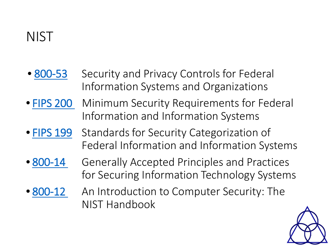### **NIST**

- 800-53 Security and Privacy Controls for Federal Information Systems and Organizations
- FIPS 200 Minimum Security Requirements for Federal Information and Information Systems
- FIPS 199 Standards for Security Categorization of Federal Information and Information Systems
- 800-14 Generally Accepted Principles and Practices for Securing Information Technology Systems
- 800-12 An Introduction to Computer Security: The NIST Handbook

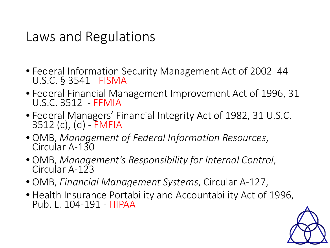# Laws and Regulations

- Federal Information Security Management Act of 2002 44 U.S.C. § 3541 - FISMA
- Federal Financial Management Improvement Act of 1996, 31 U.S.C. 3512 - FFMIA
- Federal Managers' Financial Integrity Act of 1982, 31 U.S.C. 3512 (c), (d) - FMFIA
- OMB, *Management of Federal Information Resources*, Circular A-130
- OMB, *Management's Responsibility for Internal Control*, Circular A-123
- OMB, *Financial Management Systems*, Circular A-127,
- Health Insurance Portability and Accountability Act of 1996, Pub. L. 104-191 - HIPAA

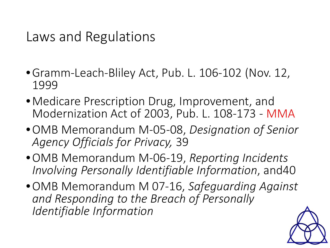#### Laws and Regulations

- •Gramm-Leach-Bliley Act, Pub. L. 106-102 (Nov. 12, 1999
- •Medicare Prescription Drug, Improvement, and Modernization Act of 2003, Pub. L. 108-173 - MMA
- •OMB Memorandum M-05-08, *Designation of Senior Agency Officials for Privacy,* 39
- •OMB Memorandum M-06-19, *Reporting Incidents Involving Personally Identifiable Information*, and40
- •OMB Memorandum M 07-16, *Safeguarding Against and Responding to the Breach of Personally Identifiable Information*

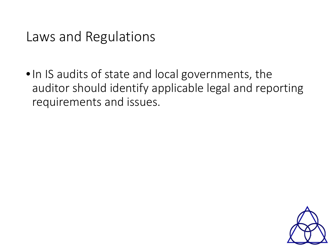Laws and Regulations

•In IS audits of state and local governments, the auditor should identify applicable legal and reporting requirements and issues.

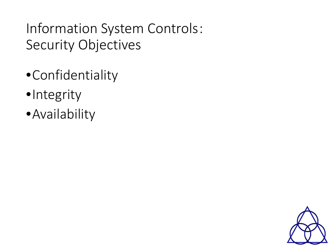# Information System Controls: Security Objectives

- •Confidentiality
- •Integrity
- •Availability

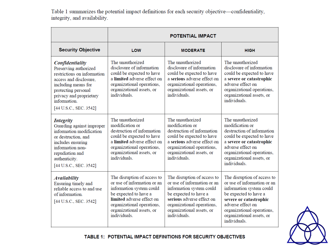Table 1 summarizes the potential impact definitions for each security objective—confidentiality, integrity, and availability.

|                                                                                                                                                                                                                      | <b>POTENTIAL IMPACT</b>                                                                                                                                                                                                |                                                                                                                                                                                                                        |                                                                                                                                                                                                                                           |
|----------------------------------------------------------------------------------------------------------------------------------------------------------------------------------------------------------------------|------------------------------------------------------------------------------------------------------------------------------------------------------------------------------------------------------------------------|------------------------------------------------------------------------------------------------------------------------------------------------------------------------------------------------------------------------|-------------------------------------------------------------------------------------------------------------------------------------------------------------------------------------------------------------------------------------------|
| <b>Security Objective</b>                                                                                                                                                                                            | LOW                                                                                                                                                                                                                    | <b>MODERATE</b>                                                                                                                                                                                                        | <b>HIGH</b>                                                                                                                                                                                                                               |
| Confidentiality<br>Preserving authorized<br>restrictions on information<br>access and disclosure.<br>including means for<br>protecting personal<br>privacy and proprietary<br>information.<br>[44 U.S.C., SEC. 3542] | The unauthorized<br>disclosure of information<br>could be expected to have<br>a limited adverse effect on<br>organizational operations,<br>organizational assets, or<br>individuals.                                   | The unauthorized<br>disclosure of information<br>could be expected to have<br>a serious adverse effect on<br>organizational operations,<br>organizational assets, or<br>individuals.                                   | The unauthorized<br>disclosure of information<br>could be expected to have<br>a severe or catastrophic<br>adverse effect on<br>organizational operations,<br>organizational assets, or<br>individuals.                                    |
| <b>Integrity</b><br>Guarding against improper<br>information modification<br>or destruction, and<br>includes ensuring<br>information non-<br>repudiation and<br>authenticity.<br>[44 U.S.C., SEC. 3542]              | The unauthorized<br>modification or<br>destruction of information<br>could be expected to have<br>a limited adverse effect on<br>organizational operations,<br>organizational assets, or<br>individuals.               | The unauthorized<br>modification or<br>destruction of information<br>could be expected to have<br>a serious adverse effect on<br>organizational operations,<br>organizational assets, or<br>individuals.               | The unauthorized<br>modification or<br>destruction of information<br>could be expected to have<br>a severe or catastrophic<br>adverse effect on<br>organizational operations,<br>organizational assets, or<br>individuals.                |
| <b>Availability</b><br>Ensuring timely and<br>reliable access to and use<br>of information.<br>[44 U.S.C., SEC. 3542]                                                                                                | The disruption of access to<br>or use of information or an<br>information system could<br>be expected to have a<br>limited adverse effect on<br>organizational operations,<br>organizational assets, or<br>individuals | The disruption of access to<br>or use of information or an<br>information system could<br>be expected to have a<br>serious adverse effect on<br>organizational operations,<br>organizational assets, or<br>individuals | The disruption of access to<br>or use of information or an<br>information system could<br>be expected to have a<br>severe or catastrophic<br>adverse effect on<br>organizational operations,<br>organizational assets, or<br>individuals. |



TABLE 1: POTENTIAL IMPACT DEFINITIONS FOR SECURITY OBJECTIVES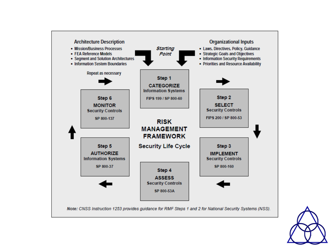

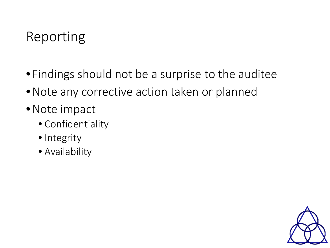# Reporting

- Findings should not be a surprise to the auditee
- •Note any corrective action taken or planned
- •Note impact
	- Confidentiality
	- Integrity
	- Availability

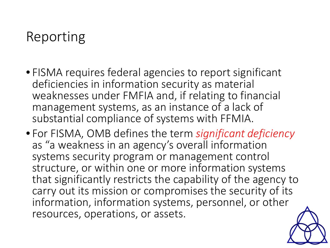# Reporting

- FISMA requires federal agencies to report significant deficiencies in information security as material weaknesses under FMFIA and, if relating to financial management systems, as an instance of a lack of substantial compliance of systems with FFMIA.
- For FISMA, OMB defines the term *significant deficiency*  as "a weakness in an agency's overall information systems security program or management control structure, or within one or more information systems that significantly restricts the capability of the agency to carry out its mission or compromises the security of its information, information systems, personnel, or other resources, operations, or assets.

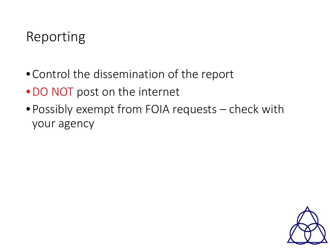# Reporting

- Control the dissemination of the report
- •DO NOT post on the internet
- Possibly exempt from FOIA requests check with your agency

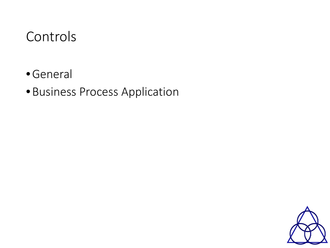#### Controls

- •General
- Business Process Application

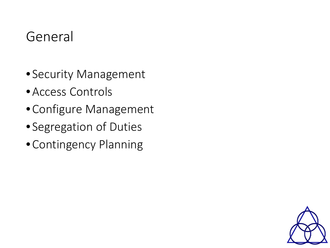#### General

- Security Management
- •Access Controls
- Configure Management
- Segregation of Duties
- Contingency Planning

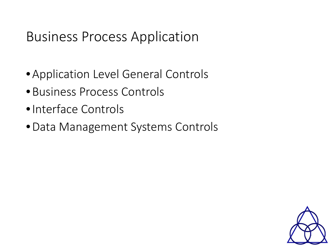# Business Process Application

- •Application Level General Controls
- Business Process Controls
- •Interface Controls
- •Data Management Systems Controls

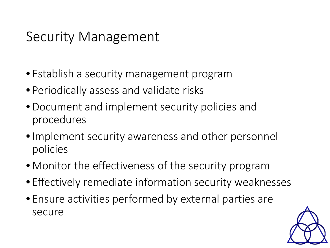### Security Management

- Establish a security management program
- Periodically assess and validate risks
- Document and implement security policies and procedures
- Implement security awareness and other personnel policies
- Monitor the effectiveness of the security program
- Effectively remediate information security weaknesses
- Ensure activities performed by external parties are secure

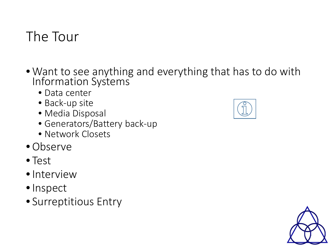# The Tour

- Want to see anything and everything that has to do with Information Systems
	- Data center
	- Back-up site
	- Media Disposal
	- Generators/Battery back-up
	- Network Closets
- Observe
- Test
- •Interview
- •Inspect
- Surreptitious Entry



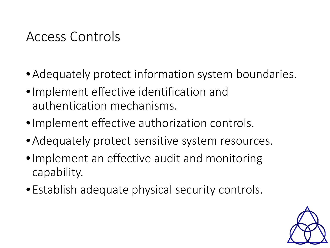#### Access Controls

- •Adequately protect information system boundaries.
- •Implement effective identification and authentication mechanisms.
- •Implement effective authorization controls.
- Adequately protect sensitive system resources.
- •Implement an effective audit and monitoring capability.
- Establish adequate physical security controls.

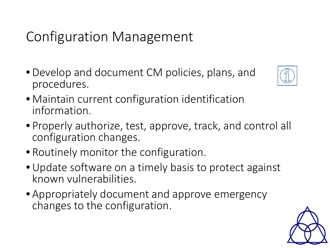# Configuration Management

• Develop and document CM policies, plans, and procedures.



- Maintain current configuration identification information.
- Properly authorize, test, approve, track, and control all configuration changes.
- Routinely monitor the configuration.
- Update software on a timely basis to protect against known vulnerabilities.
- Appropriately document and approve emergency changes to the configuration.

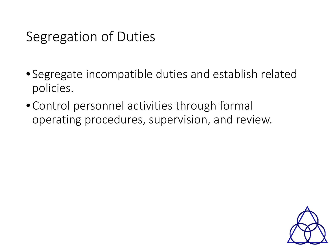### Segregation of Duties

- Segregate incompatible duties and establish related policies.
- Control personnel activities through formal operating procedures, supervision, and review.

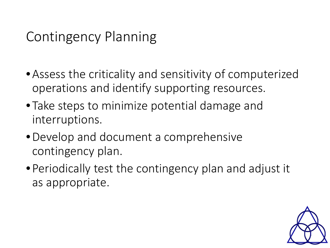# Contingency Planning

- •Assess the criticality and sensitivity of computerized operations and identify supporting resources.
- Take steps to minimize potential damage and interruptions.
- •Develop and document a comprehensive contingency plan.
- Periodically test the contingency plan and adjust it as appropriate.

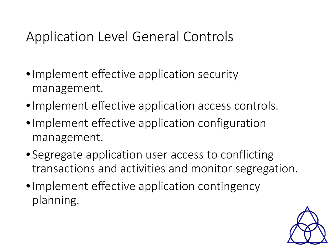# Application Level General Controls

- •Implement effective application security management.
- Implement effective application access controls.
- •Implement effective application configuration management.
- Segregate application user access to conflicting transactions and activities and monitor segregation.
- Implement effective application contingency planning.

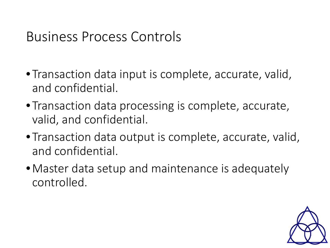#### Business Process Controls

- Transaction data input is complete, accurate, valid, and confidential.
- Transaction data processing is complete, accurate, valid, and confidential.
- Transaction data output is complete, accurate, valid, and confidential.
- •Master data setup and maintenance is adequately controlled.

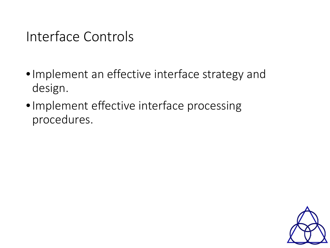# Interface Controls

- •Implement an effective interface strategy and design.
- •Implement effective interface processing procedures.

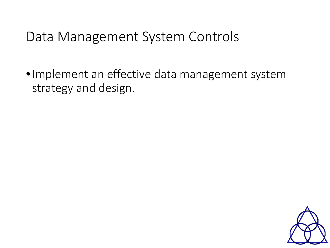Data Management System Controls

•Implement an effective data management system strategy and design.